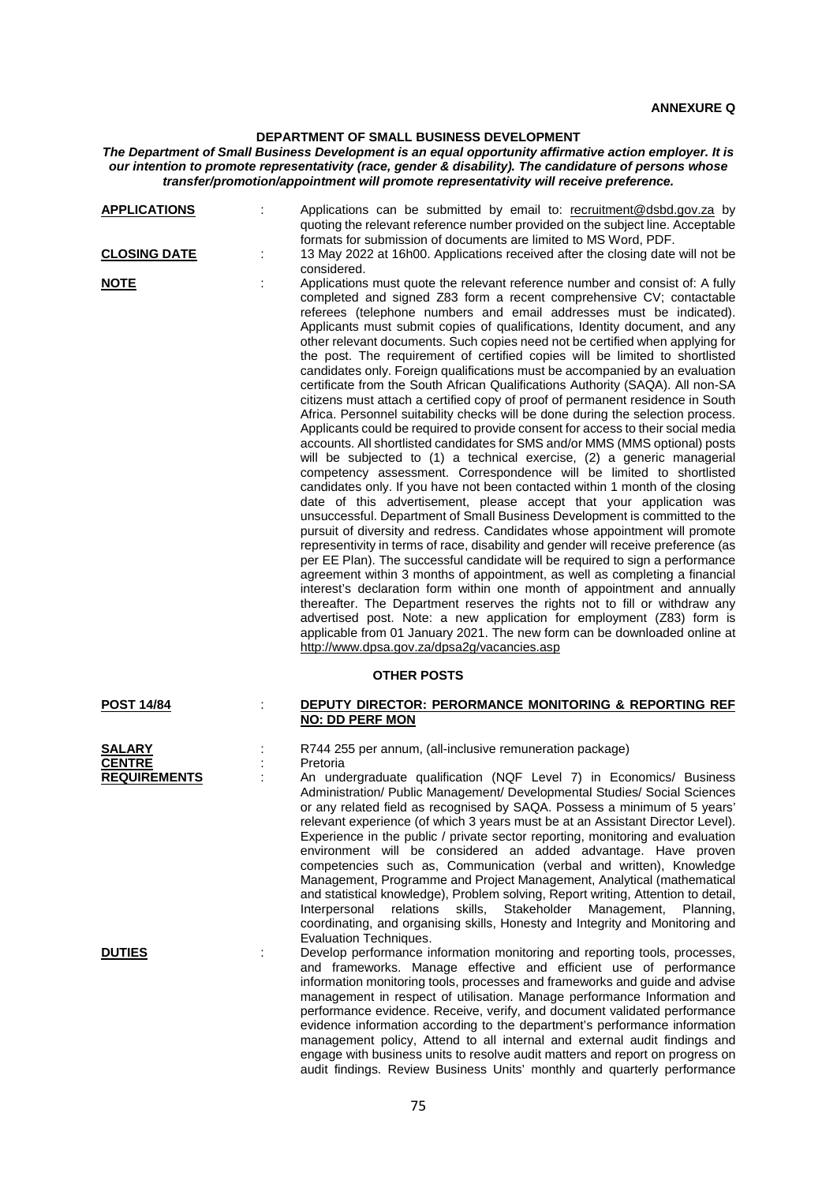## **DEPARTMENT OF SMALL BUSINESS DEVELOPMENT**

## *The Department of Small Business Development is an equal opportunity affirmative action employer. It is our intention to promote representativity (race, gender & disability). The candidature of persons whose transfer/promotion/appointment will promote representativity will receive preference.*

| <b>APPLICATIONS</b>                                   | Applications can be submitted by email to: recruitment@dsbd.gov.za by<br>quoting the relevant reference number provided on the subject line. Acceptable<br>formats for submission of documents are limited to MS Word, PDF.                                                                                                                                                                                                                                                                                                                                                                                                                                                                                                                                                                                                                                                                                                                                                                                                                                                                                                                                                                                                                                                                                                                                                                                                                                                                                                                                                                                                                                                                                                                                                                                                                                                                                                                                                                                                                                                          |
|-------------------------------------------------------|--------------------------------------------------------------------------------------------------------------------------------------------------------------------------------------------------------------------------------------------------------------------------------------------------------------------------------------------------------------------------------------------------------------------------------------------------------------------------------------------------------------------------------------------------------------------------------------------------------------------------------------------------------------------------------------------------------------------------------------------------------------------------------------------------------------------------------------------------------------------------------------------------------------------------------------------------------------------------------------------------------------------------------------------------------------------------------------------------------------------------------------------------------------------------------------------------------------------------------------------------------------------------------------------------------------------------------------------------------------------------------------------------------------------------------------------------------------------------------------------------------------------------------------------------------------------------------------------------------------------------------------------------------------------------------------------------------------------------------------------------------------------------------------------------------------------------------------------------------------------------------------------------------------------------------------------------------------------------------------------------------------------------------------------------------------------------------------|
| <b>CLOSING DATE</b>                                   | 13 May 2022 at 16h00. Applications received after the closing date will not be<br>considered.                                                                                                                                                                                                                                                                                                                                                                                                                                                                                                                                                                                                                                                                                                                                                                                                                                                                                                                                                                                                                                                                                                                                                                                                                                                                                                                                                                                                                                                                                                                                                                                                                                                                                                                                                                                                                                                                                                                                                                                        |
| <u>NOTE</u>                                           | Applications must quote the relevant reference number and consist of: A fully<br>completed and signed Z83 form a recent comprehensive CV; contactable<br>referees (telephone numbers and email addresses must be indicated).<br>Applicants must submit copies of qualifications, Identity document, and any<br>other relevant documents. Such copies need not be certified when applying for<br>the post. The requirement of certified copies will be limited to shortlisted<br>candidates only. Foreign qualifications must be accompanied by an evaluation<br>certificate from the South African Qualifications Authority (SAQA). All non-SA<br>citizens must attach a certified copy of proof of permanent residence in South<br>Africa. Personnel suitability checks will be done during the selection process.<br>Applicants could be required to provide consent for access to their social media<br>accounts. All shortlisted candidates for SMS and/or MMS (MMS optional) posts<br>will be subjected to (1) a technical exercise, (2) a generic managerial<br>competency assessment. Correspondence will be limited to shortlisted<br>candidates only. If you have not been contacted within 1 month of the closing<br>date of this advertisement, please accept that your application was<br>unsuccessful. Department of Small Business Development is committed to the<br>pursuit of diversity and redress. Candidates whose appointment will promote<br>representivity in terms of race, disability and gender will receive preference (as<br>per EE Plan). The successful candidate will be required to sign a performance<br>agreement within 3 months of appointment, as well as completing a financial<br>interest's declaration form within one month of appointment and annually<br>thereafter. The Department reserves the rights not to fill or withdraw any<br>advertised post. Note: a new application for employment (Z83) form is<br>applicable from 01 January 2021. The new form can be downloaded online at<br>http://www.dpsa.gov.za/dpsa2g/vacancies.asp |
|                                                       | <b>OTHER POSTS</b>                                                                                                                                                                                                                                                                                                                                                                                                                                                                                                                                                                                                                                                                                                                                                                                                                                                                                                                                                                                                                                                                                                                                                                                                                                                                                                                                                                                                                                                                                                                                                                                                                                                                                                                                                                                                                                                                                                                                                                                                                                                                   |
| <b>POST 14/84</b>                                     | DEPUTY DIRECTOR: PERORMANCE MONITORING & REPORTING REF<br><b>NO: DD PERF MON</b>                                                                                                                                                                                                                                                                                                                                                                                                                                                                                                                                                                                                                                                                                                                                                                                                                                                                                                                                                                                                                                                                                                                                                                                                                                                                                                                                                                                                                                                                                                                                                                                                                                                                                                                                                                                                                                                                                                                                                                                                     |
| <b>SALARY</b><br><b>CENTRE</b><br><b>REQUIREMENTS</b> | R744 255 per annum, (all-inclusive remuneration package)<br>Pretoria<br>An undergraduate qualification (NQF Level 7) in Economics/ Business<br>Administration/ Public Management/ Developmental Studies/ Social Sciences<br>or any related field as recognised by SAQA. Possess a minimum of 5 years'<br>relevant experience (of which 3 years must be at an Assistant Director Level).<br>Experience in the public / private sector reporting, monitoring and evaluation<br>environment will be considered an added advantage. Have proven<br>competencies such as, Communication (verbal and written), Knowledge<br>Management, Programme and Project Management, Analytical (mathematical<br>and statistical knowledge), Problem solving, Report writing, Attention to detail,<br>Interpersonal relations skills, Stakeholder Management, Planning,<br>coordinating, and organising skills, Honesty and Integrity and Monitoring and<br>Evaluation Techniques.                                                                                                                                                                                                                                                                                                                                                                                                                                                                                                                                                                                                                                                                                                                                                                                                                                                                                                                                                                                                                                                                                                                    |
| <b>DUTIES</b>                                         | Develop performance information monitoring and reporting tools, processes,<br>and frameworks. Manage effective and efficient use of performance<br>information monitoring tools, processes and frameworks and guide and advise<br>management in respect of utilisation. Manage performance Information and<br>performance evidence. Receive, verify, and document validated performance<br>evidence information according to the department's performance information<br>management policy, Attend to all internal and external audit findings and<br>engage with business units to resolve audit matters and report on progress on                                                                                                                                                                                                                                                                                                                                                                                                                                                                                                                                                                                                                                                                                                                                                                                                                                                                                                                                                                                                                                                                                                                                                                                                                                                                                                                                                                                                                                                  |

audit findings. Review Business Units' monthly and quarterly performance